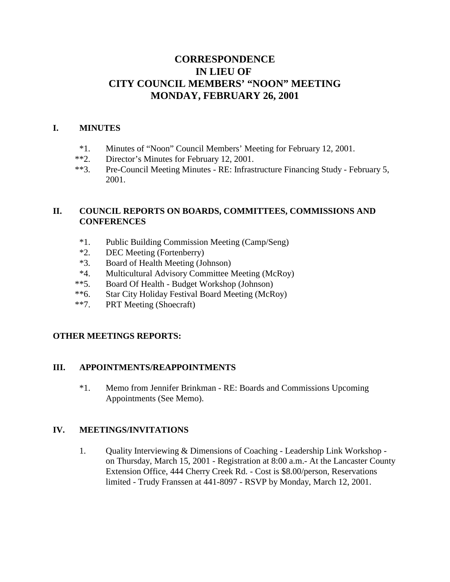# **CORRESPONDENCE IN LIEU OF CITY COUNCIL MEMBERS' "NOON" MEETING MONDAY, FEBRUARY 26, 2001**

### **I. MINUTES**

- \*1. Minutes of "Noon" Council Members' Meeting for February 12, 2001.
- \*\*2. Director's Minutes for February 12, 2001.
- \*\*3. Pre-Council Meeting Minutes RE: Infrastructure Financing Study February 5, 2001.

## **II. COUNCIL REPORTS ON BOARDS, COMMITTEES, COMMISSIONS AND CONFERENCES**

- \*1. Public Building Commission Meeting (Camp/Seng)
- \*2. DEC Meeting (Fortenberry)
- \*3. Board of Health Meeting (Johnson)
- \*4. Multicultural Advisory Committee Meeting (McRoy)
- \*\*5. Board Of Health Budget Workshop (Johnson)
- \*\*6. Star City Holiday Festival Board Meeting (McRoy)
- \*\*7. PRT Meeting (Shoecraft)

## **OTHER MEETINGS REPORTS:**

### **III. APPOINTMENTS/REAPPOINTMENTS**

\*1. Memo from Jennifer Brinkman - RE: Boards and Commissions Upcoming Appointments (See Memo).

### **IV. MEETINGS/INVITATIONS**

1. Quality Interviewing & Dimensions of Coaching - Leadership Link Workshop on Thursday, March 15, 2001 - Registration at 8:00 a.m.- At the Lancaster County Extension Office, 444 Cherry Creek Rd. - Cost is \$8.00/person, Reservations limited - Trudy Franssen at 441-8097 - RSVP by Monday, March 12, 2001.